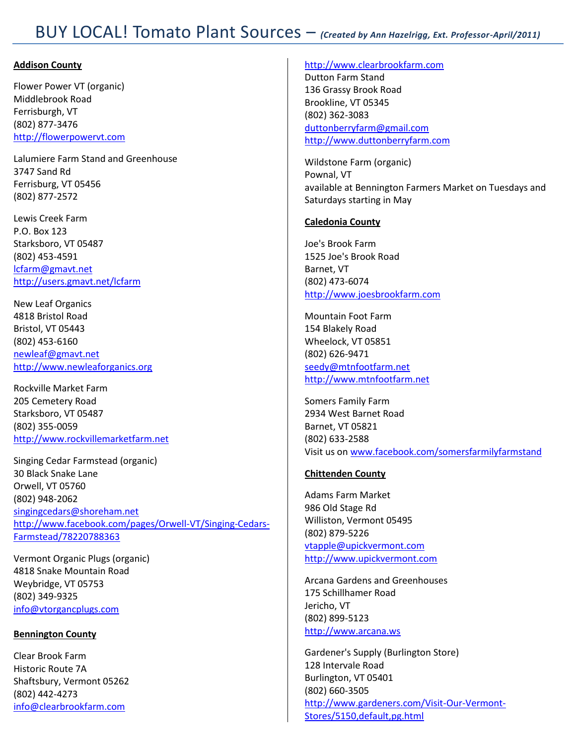# BUY LOCAL! Tomato Plant Sources – *(Created by Ann Hazelrigg, Ext. Professor-April/2011)*

# **Addison County**

Flower Power VT (organic) Middlebrook Road Ferrisburgh, VT (802) 877-3476 [http://flowerpowervt.com](http://flowerpowervt.com/)

Lalumiere Farm Stand and Greenhouse 3747 Sand Rd Ferrisburg, VT 05456 (802) 877-2572

Lewis Creek Farm P.O. Box 123 Starksboro, VT 05487 (802) 453-4591 [lcfarm@gmavt.net](mailto:lcfarm@gmavt.net) <http://users.gmavt.net/lcfarm>

New Leaf Organics 4818 Bristol Road Bristol, VT 05443 (802) 453-6160 [newleaf@gmavt.net](mailto:newleaf@gmavt.net) [http://www.newleaforganics.org](http://www.newleaforganics.org/)

Rockville Market Farm 205 Cemetery Road Starksboro, VT 05487 (802) 355-0059 [http://www.rockvillemarketfarm.net](http://www.rockvillemarketfarm.net/)

Singing Cedar Farmstead (organic) 30 Black Snake Lane Orwell, VT 05760 (802) 948-2062 [singingcedars@shoreham.net](mailto:singingcedars@shoreham.net) [http://www.facebook.com/pages/Orwell-VT/Singing-Cedars-](http://www.facebook.com/pages/Orwell-VT/Singing-Cedars-Farmstead/78220788363)[Farmstead/78220788363](http://www.facebook.com/pages/Orwell-VT/Singing-Cedars-Farmstead/78220788363)

Vermont Organic Plugs (organic) 4818 Snake Mountain Road Weybridge, VT 05753 (802) 349-9325 [info@vtorgancplugs.com](mailto:info@vtorgancplugs.com)

# **Bennington County**

Clear Brook Farm Historic Route 7A Shaftsbury, Vermont 05262 (802) 442-4273 [info@clearbrookfarm.com](mailto:info@clearbrookfarm.com)

#### [http://www.clearbrookfarm.com](http://www.clearbrookfarm.com/)

Dutton Farm Stand 136 Grassy Brook Road Brookline, VT 05345 (802) 362-3083 [duttonberryfarm@gmail.com](mailto:duttonberryfarm@gmail.com) [http://www.duttonberryfarm.com](http://www.duttonberryfarm.com/)

Wildstone Farm (organic) Pownal, VT available at Bennington Farmers Market on Tuesdays and Saturdays starting in May

## **Caledonia County**

Joe's Brook Farm 1525 Joe's Brook Road Barnet, VT (802) 473-6074 [http://www.joesbrookfarm.com](http://www.joesbrookfarm.com/)

Mountain Foot Farm 154 Blakely Road Wheelock, VT 05851 (802) 626-9471 [seedy@mtnfootfarm.net](mailto:seedy@mtnfootfarm.net) [http://www.mtnfootfarm.net](http://www.mtnfootfarm.net/)

Somers Family Farm 2934 West Barnet Road Barnet, VT 05821 (802) 633-2588 Visit us o[n www.facebook.com/somersfarmilyfarmstand](http://www.facebook.com/somersfarmilyfarmstand)

# **Chittenden County**

Adams Farm Market 986 Old Stage Rd Williston, Vermont 05495 (802) 879-5226 [vtapple@upickvermont.com](mailto:vtapple@upickvermont.com) [http://www.upickvermont.com](http://www.upickvermont.com/)

Arcana Gardens and Greenhouses 175 Schillhamer Road Jericho, VT (802) 899-5123 [http://www.arcana.ws](http://www.arcana.ws/)

Gardener's Supply (Burlington Store) 128 Intervale Road Burlington, VT 05401 (802) 660-3505 [http://www.gardeners.com/Visit-Our-Vermont-](http://www.gardeners.com/Visit-Our-Vermont-Stores/5150,default,pg.html)[Stores/5150,default,pg.html](http://www.gardeners.com/Visit-Our-Vermont-Stores/5150,default,pg.html)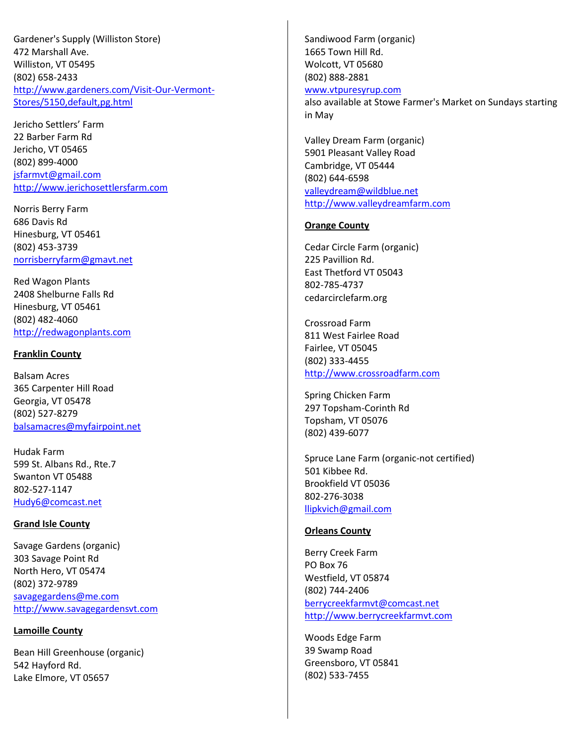Gardener's Supply (Williston Store) 472 Marshall Ave. Williston, VT 05495 (802) 658-2433 [http://www.gardeners.com/Visit-Our-Vermont-](http://www.gardeners.com/Visit-Our-Vermont-Stores/5150,default,pg.html)[Stores/5150,default,pg.html](http://www.gardeners.com/Visit-Our-Vermont-Stores/5150,default,pg.html)

Jericho Settlers' Farm 22 Barber Farm Rd Jericho, VT 05465 (802) 899-4000 [jsfarmvt@gmail.com](mailto:jsfarmvt@gmail.com) [http://www.jerichosettlersfarm.com](http://www.jerichosettlersfarm.com/)

Norris Berry Farm 686 Davis Rd Hinesburg, VT 05461 (802) 453-3739 [norrisberryfarm@gmavt.net](mailto:norrisberryfarm@gmavt.net)

Red Wagon Plants 2408 Shelburne Falls Rd Hinesburg, VT 05461 (802) 482-4060 [http://redwagonplants.com](http://redwagonplants.com/)

## **Franklin County**

Balsam Acres 365 Carpenter Hill Road Georgia, VT 05478 (802) 527-8279 [balsamacres@myfairpoint.net](mailto:balsamacres@myfairpoint.net)

Hudak Farm 599 St. Albans Rd., Rte.7 Swanton VT 05488 802-527-1147 [Hudy6@comcast.net](mailto:Hudy6@comcast.net)

# **Grand Isle County**

Savage Gardens (organic) 303 Savage Point Rd North Hero, VT 05474 (802) 372-9789 [savagegardens@me.com](mailto:savagegardens@me.com) [http://www.savagegardensvt.com](http://www.savagegardensvt.com/)

# **Lamoille County**

Bean Hill Greenhouse (organic) 542 Hayford Rd. Lake Elmore, VT 05657

Sandiwood Farm (organic) 1665 Town Hill Rd. Wolcott, VT 05680 (802) 888-2881

# [www.vtpuresyrup.com](http://www.vtpuresyrup.com/)

also available at Stowe Farmer's Market on Sundays starting in May

Valley Dream Farm (organic) 5901 Pleasant Valley Road Cambridge, VT 05444 (802) 644-6598 [valleydream@wildblue.net](mailto:valleydream@wildblue.net) [http://www.valleydreamfarm.com](http://www.valleydreamfarm.com/)

## **Orange County**

Cedar Circle Farm (organic) 225 Pavillion Rd. East Thetford VT 05043 802-785-4737 cedarcirclefarm.org

Crossroad Farm 811 West Fairlee Road Fairlee, VT 05045 (802) 333-4455 [http://www.crossroadfarm.com](http://www.crossroadfarm.com/)

Spring Chicken Farm 297 Topsham-Corinth Rd Topsham, VT 05076 (802) 439-6077

Spruce Lane Farm (organic-not certified) 501 Kibbee Rd. Brookfield VT 05036 802-276-3038 [llipkvich@gmail.com](mailto:llipkvich@gmail.com)

# **Orleans County**

Berry Creek Farm PO Box 76 Westfield, VT 05874 (802) 744-2406 [berrycreekfarmvt@comcast.net](mailto:berrycreekfarmvt@comcast.net) [http://www.berrycreekfarmvt.com](http://www.berrycreekfarmvt.com/)

Woods Edge Farm 39 Swamp Road Greensboro, VT 05841 (802) 533-7455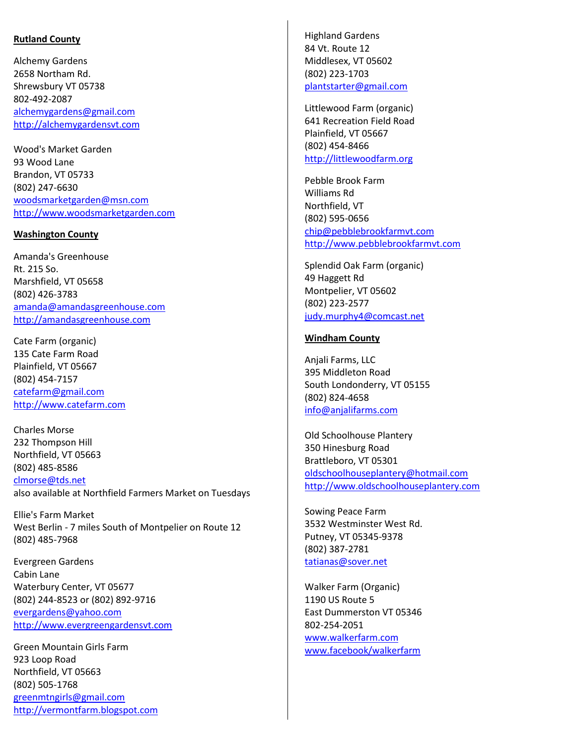### **Rutland County**

Alchemy Gardens 2658 Northam Rd. Shrewsbury VT 05738 802-492-2087 [alchemygardens@gmail.com](mailto:alchemygardens@gmail.com) [http://alchemygardensvt.com](http://alchemygardensvt.com/)

Wood's Market Garden 93 Wood Lane Brandon, VT 05733 (802) 247-6630 [woodsmarketgarden@msn.com](mailto:woodsmarketgarden@msn.com) [http://www.woodsmarketgarden.com](http://www.woodsmarketgarden.com/)

#### **Washington County**

Amanda's Greenhouse Rt. 215 So. Marshfield, VT 05658 (802) 426-3783 [amanda@amandasgreenhouse.com](mailto:amanda@amandasgreenhouse.com) [http://amandasgreenhouse.com](http://amandasgreenhouse.com/)

Cate Farm (organic) 135 Cate Farm Road Plainfield, VT 05667 (802) 454-7157 [catefarm@gmail.com](mailto:catefarm@gmail.com) [http://www.catefarm.com](http://www.catefarm.com/)

Charles Morse 232 Thompson Hill Northfield, VT 05663 (802) 485-8586 [clmorse@tds.net](mailto:clmorse@tds.net) also available at Northfield Farmers Market on Tuesdays

Ellie's Farm Market West Berlin - 7 miles South of Montpelier on Route 12 (802) 485-7968

Evergreen Gardens Cabin Lane Waterbury Center, VT 05677 (802) 244-8523 or (802) 892-9716 [evergardens@yahoo.com](mailto:evergardens@yahoo.com) [http://www.evergreengardensvt.com](http://www.evergreengardensvt.com/)

Green Mountain Girls Farm 923 Loop Road Northfield, VT 05663 (802) 505-1768 [greenmtngirls@gmail.com](mailto:greenmtngirls@gmail.com) [http://vermontfarm.blogspot.com](http://vermontfarm.blogspot.com/) Highland Gardens 84 Vt. Route 12 Middlesex, VT 05602 (802) 223-1703 [plantstarter@gmail.com](mailto:plantstarter@gmail.com)

Littlewood Farm (organic) 641 Recreation Field Road Plainfield, VT 05667 (802) 454-8466 [http://littlewoodfarm.org](http://littlewoodfarm.org/)

Pebble Brook Farm Williams Rd Northfield, VT (802) 595-0656 [chip@pebblebrookfarmvt.com](mailto:chip@pebblebrookfarmvt.com) [http://www.pebblebrookfarmvt.com](http://www.pebblebrookfarmvt.com/)

Splendid Oak Farm (organic) 49 Haggett Rd Montpelier, VT 05602 (802) 223-2577 [judy.murphy4@comcast.net](mailto:judy.murphy4@comcast.net)

#### **Windham County**

Anjali Farms, LLC 395 Middleton Road South Londonderry, VT 05155 (802) 824-4658 [info@anjalifarms.com](mailto:info@anjalifarms.com)

Old Schoolhouse Plantery 350 Hinesburg Road Brattleboro, VT 05301 [oldschoolhouseplantery@hotmail.com](mailto:oldschoolhouseplantery@hotmail.com) [http://www.oldschoolhouseplantery.com](http://www.oldschoolhouseplantery.com/)

Sowing Peace Farm 3532 Westminster West Rd. Putney, VT 05345-9378 (802) 387-2781 [tatianas@sover.net](mailto:tatianas@sover.net)

Walker Farm (Organic) 1190 US Route 5 East Dummerston VT 05346 802-254-2051 [www.walkerfarm.com](http://www.walkerfarm.com/) [www.facebook/walkerfarm](http://www.facebook/walkerfarm)